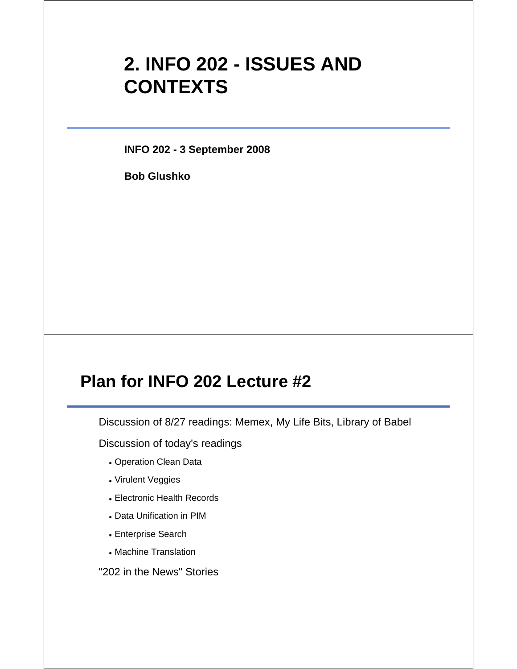# **2. INFO 202 - ISSUES AND CONTEXTS**

**INFO 202 - 3 September 2008**

**Bob Glushko**

# **Plan for INFO 202 Lecture #2**

Discussion of 8/27 readings: Memex, My Life Bits, Library of Babel

Discussion of today's readings

- Operation Clean Data
- Virulent Veggies
- Electronic Health Records
- Data Unification in PIM
- Enterprise Search
- Machine Translation

"202 in the News" Stories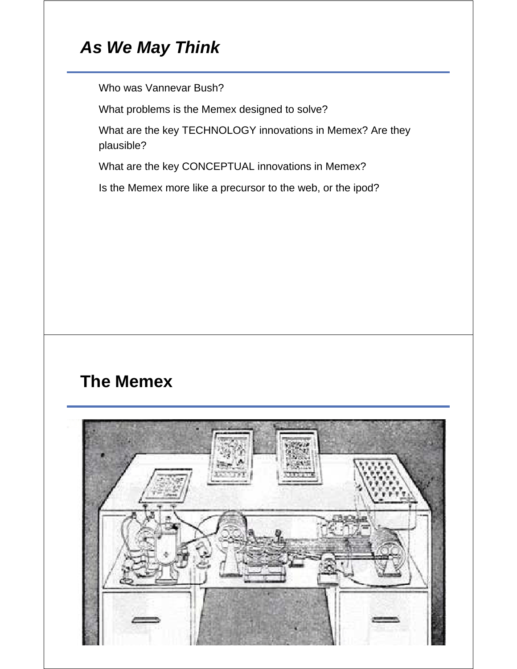# *As We May Think*

Who was Vannevar Bush?

What problems is the Memex designed to solve?

What are the key TECHNOLOGY innovations in Memex? Are they plausible?

What are the key CONCEPTUAL innovations in Memex?

Is the Memex more like a precursor to the web, or the ipod?

# **The Memex**

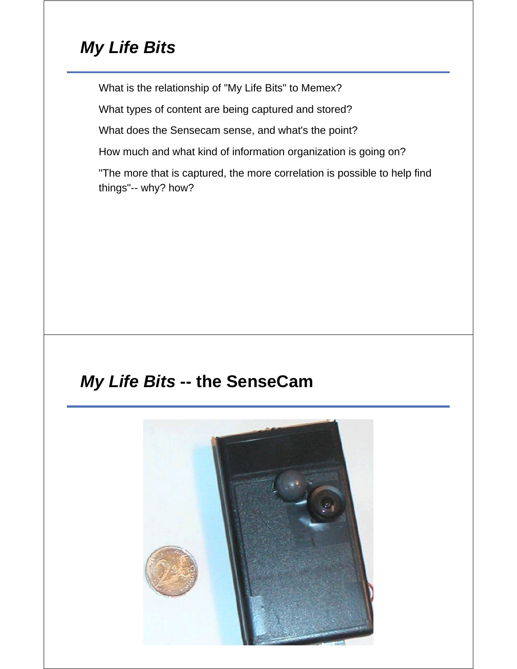# *My Life Bits*

What is the relationship of "My Life Bits" to Memex?

What types of content are being captured and stored?

What does the Sensecam sense, and what's the point?

How much and what kind of information organization is going on?

"The more that is captured, the more correlation is possible to help find things"-- why? how?

## *My Life Bits* **-- the SenseCam**

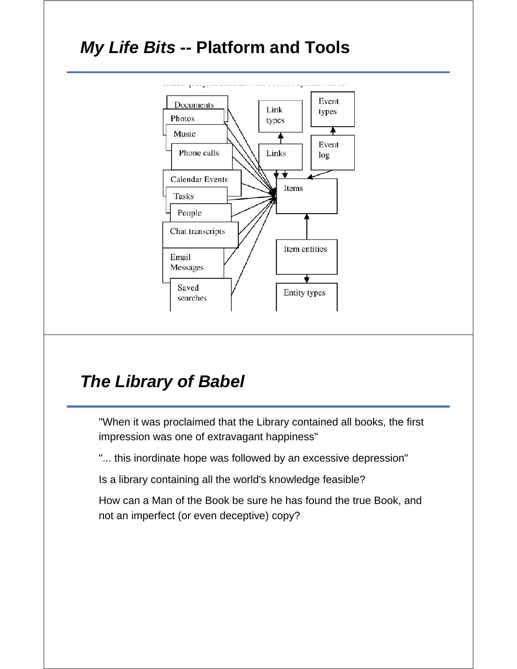



## *The Library of Babel*

"When it was proclaimed that the Library contained all books, the first impression was one of extravagant happiness"

"... this inordinate hope was followed by an excessive depression"

Is a library containing all the world's knowledge feasible?

How can a Man of the Book be sure he has found the true Book, and not an imperfect (or even deceptive) copy?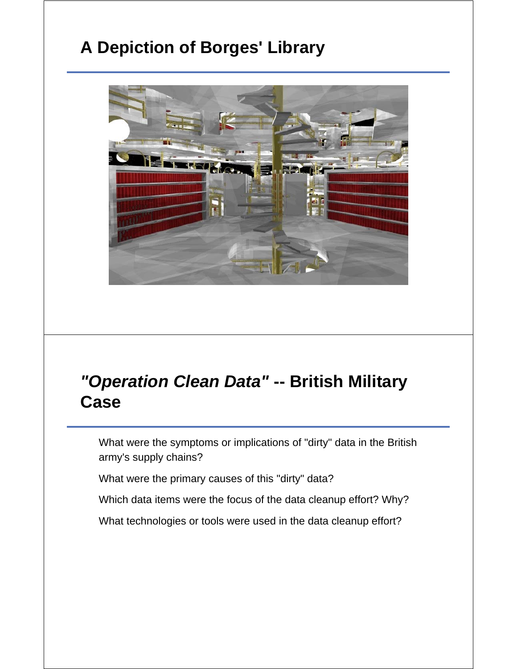# **A Depiction of Borges' Library**



# *"Operation Clean Data"* **-- British Military Case**

What were the symptoms or implications of "dirty" data in the British army's supply chains?

What were the primary causes of this "dirty" data?

Which data items were the focus of the data cleanup effort? Why?

What technologies or tools were used in the data cleanup effort?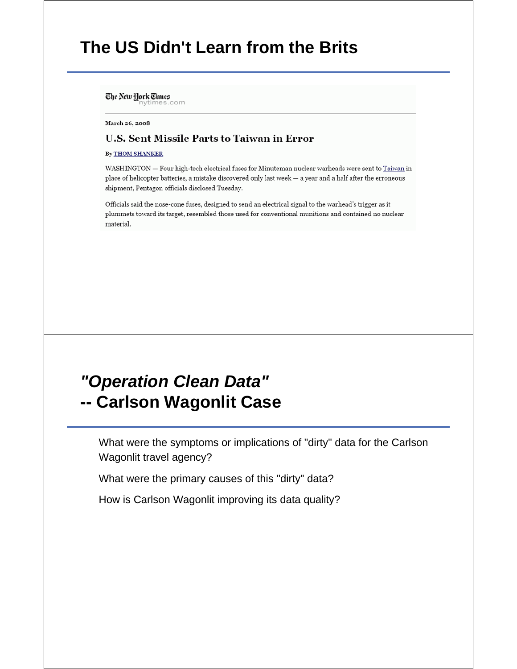## **The US Didn't Learn from the Brits**

The New York Times nes.com

March 26, 2008

#### **U.S. Sent Missile Parts to Taiwan in Error**

#### By **THOM SHANKER**

WASHINGTON - Four high-tech electrical fuses for Minuteman nuclear warheads were sent to Taiwan in place of helicopter batteries, a mistake discovered only last week  $-$  a year and a half after the erroneous shipment, Pentagon officials disclosed Tuesday.

Officials said the nose-cone fuses, designed to send an electrical signal to the warhead's trigger as it plummets toward its target, resembled those used for conventional munitions and contained no nuclear material.

# *"Operation Clean Data"* **-- Carlson Wagonlit Case**

What were the symptoms or implications of "dirty" data for the Carlson Wagonlit travel agency?

What were the primary causes of this "dirty" data?

How is Carlson Wagonlit improving its data quality?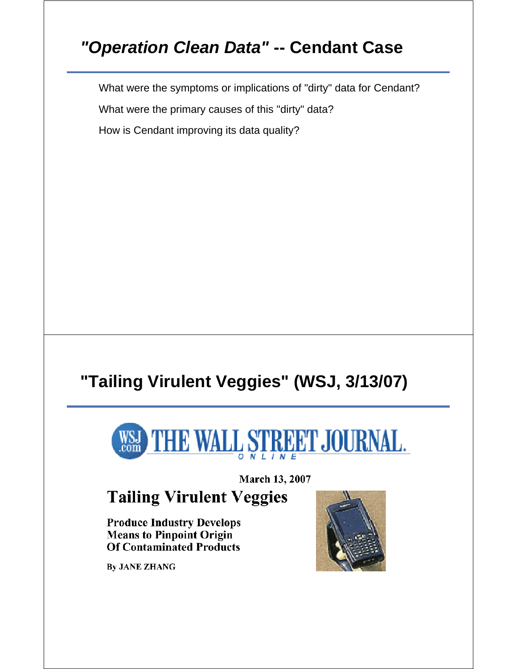# *"Operation Clean Data"* **-- Cendant Case**

What were the symptoms or implications of "dirty" data for Cendant?

What were the primary causes of this "dirty" data?

How is Cendant improving its data quality?

# **"Tailing Virulent Veggies" (WSJ, 3/13/07)**



March 13, 2007

#### **Tailing Virulent Veggies**

**Produce Industry Develops Means to Pinpoint Origin Of Contaminated Products** 

By JANE ZHANG

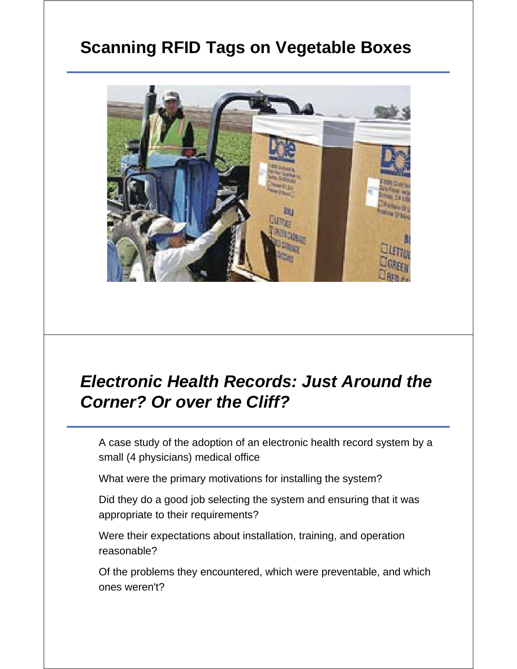# **Scanning RFID Tags on Vegetable Boxes**



# *Electronic Health Records: Just Around the Corner? Or over the Cliff?*

A case study of the adoption of an electronic health record system by a small (4 physicians) medical office

What were the primary motivations for installing the system?

Did they do a good job selecting the system and ensuring that it was appropriate to their requirements?

Were their expectations about installation, training, and operation reasonable?

Of the problems they encountered, which were preventable, and which ones weren't?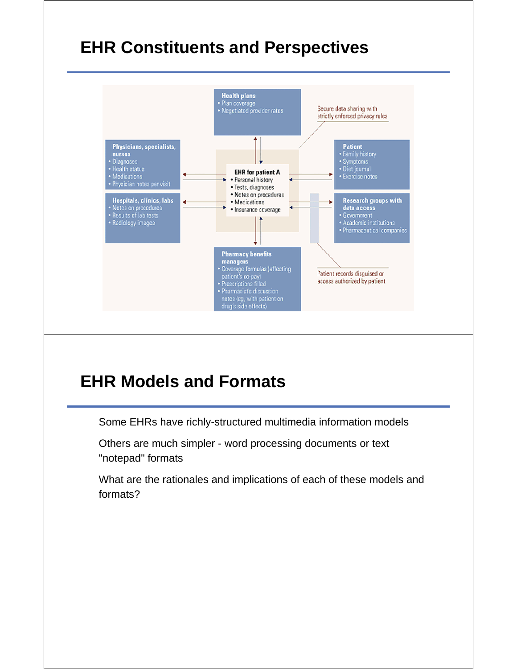# **EHR Constituents and Perspectives**



#### **EHR Models and Formats**

Some EHRs have richly-structured multimedia information models

Others are much simpler - word processing documents or text "notepad" formats

What are the rationales and implications of each of these models and formats?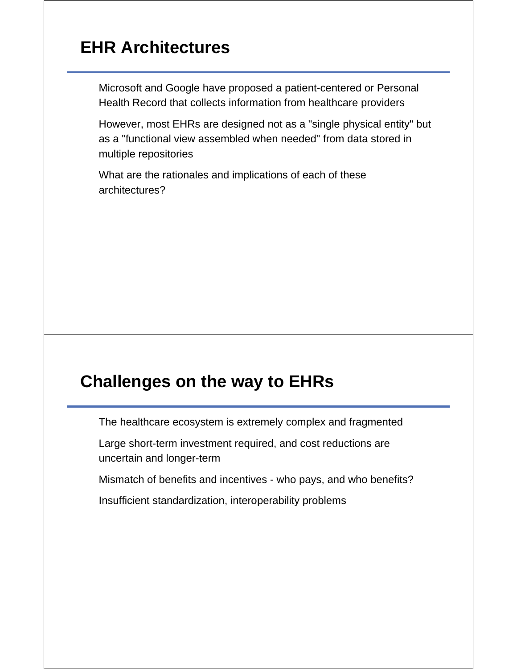# **EHR Architectures**

Microsoft and Google have proposed a patient-centered or Personal Health Record that collects information from healthcare providers

However, most EHRs are designed not as a "single physical entity" but as a "functional view assembled when needed" from data stored in multiple repositories

What are the rationales and implications of each of these architectures?

## **Challenges on the way to EHRs**

The healthcare ecosystem is extremely complex and fragmented

Large short-term investment required, and cost reductions are uncertain and longer-term

Mismatch of benefits and incentives - who pays, and who benefits?

Insufficient standardization, interoperability problems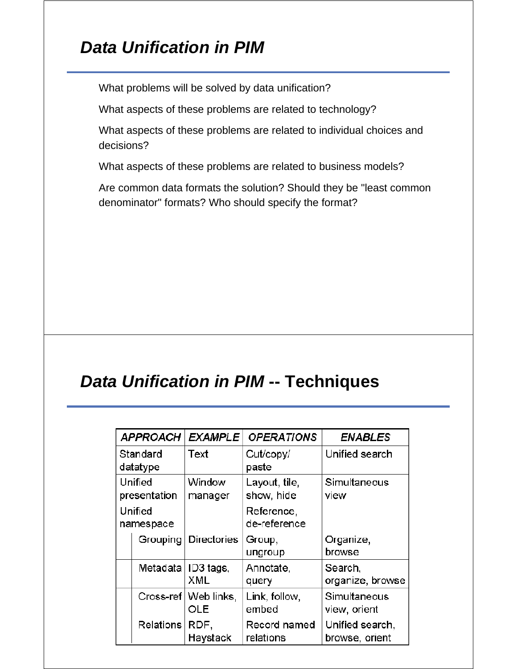# *Data Unification in PIM*

What problems will be solved by data unification?

What aspects of these problems are related to technology?

What aspects of these problems are related to individual choices and decisions?

What aspects of these problems are related to business models?

Are common data formats the solution? Should they be "least common denominator" formats? Who should specify the format?

## *Data Unification in PIM* **-- Techniques**

| APPROACH EXAMPLE        |                  |                    | <b>OPERATIONS</b>           | <b>ENABLES</b>                    |
|-------------------------|------------------|--------------------|-----------------------------|-----------------------------------|
| Standard<br>datatype    |                  | Text               | Cut/copy/<br>paste          | Unified search                    |
| Unified<br>presentation |                  | Window<br>manager  | Layout, tile,<br>show, hide | Simultaneous<br>view              |
| Unified<br>namespace    |                  |                    | Reference,<br>de-reference  |                                   |
|                         | <b>Grouping</b>  | <b>Directories</b> | Group,<br>ungroup           | Organize,<br>browse               |
|                         | Metadata         | ID3 tags,<br>XML   | Annotate,<br>query          | Search,<br>organize, browse       |
|                         | $Cross-ref$      | Web links,<br>OLE  | Link, follow,<br>embed      | Simultaneous<br>view, orient      |
|                         | <b>Relations</b> | RDF,<br>Haystack   | Record named<br>relations   | Unified search,<br>browse, orient |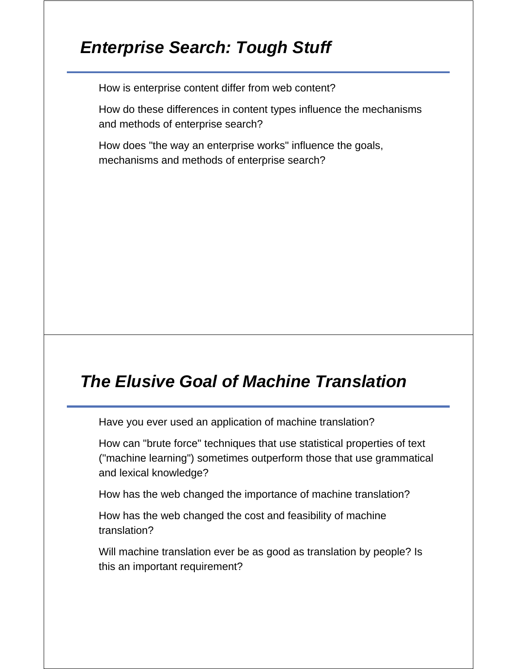# *Enterprise Search: Tough Stuff*

How is enterprise content differ from web content?

How do these differences in content types influence the mechanisms and methods of enterprise search?

How does "the way an enterprise works" influence the goals, mechanisms and methods of enterprise search?

## *The Elusive Goal of Machine Translation*

Have you ever used an application of machine translation?

How can "brute force" techniques that use statistical properties of text ("machine learning") sometimes outperform those that use grammatical and lexical knowledge?

How has the web changed the importance of machine translation?

How has the web changed the cost and feasibility of machine translation?

Will machine translation ever be as good as translation by people? Is this an important requirement?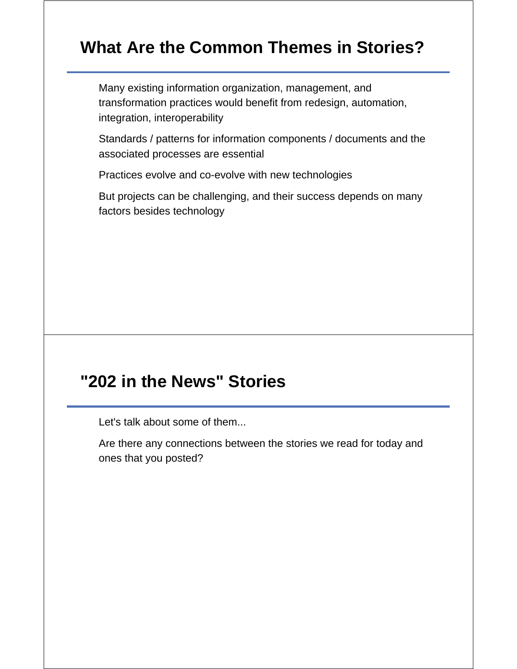# **What Are the Common Themes in Stories?**

Many existing information organization, management, and transformation practices would benefit from redesign, automation, integration, interoperability

Standards / patterns for information components / documents and the associated processes are essential

Practices evolve and co-evolve with new technologies

But projects can be challenging, and their success depends on many factors besides technology

### **"202 in the News" Stories**

Let's talk about some of them...

Are there any connections between the stories we read for today and ones that you posted?